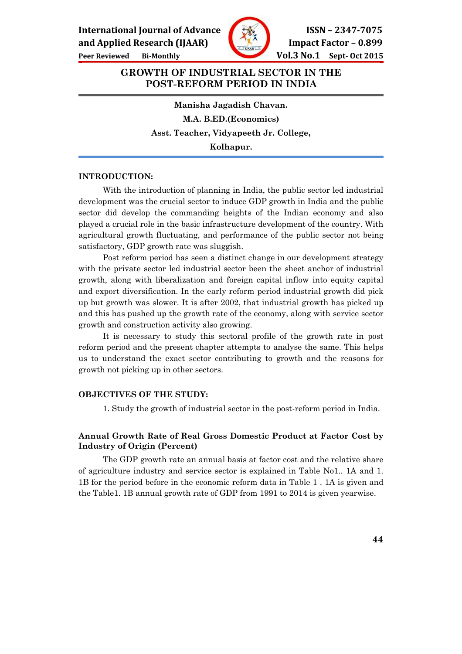International Journal of Advance  $\sqrt{\frac{326}{10}}$  ISSN – 2347-7075





and Applied Research (IJAAR)  $\sqrt{M}$  Impact Factor – 0.899

## GROWTH OF INDUSTRIAL SECTOR IN THE POST-REFORM PERIOD IN INDIA

Manisha Jagadish Chavan. M.A. B.ED.(Economics) Asst. Teacher, Vidyapeeth Jr. College, Kolhapur.

#### INTRODUCTION:

 With the introduction of planning in India, the public sector led industrial development was the crucial sector to induce GDP growth in India and the public sector did develop the commanding heights of the Indian economy and also played a crucial role in the basic infrastructure development of the country. With agricultural growth fluctuating, and performance of the public sector not being satisfactory, GDP growth rate was sluggish.

 Post reform period has seen a distinct change in our development strategy with the private sector led industrial sector been the sheet anchor of industrial growth, along with liberalization and foreign capital inflow into equity capital and export diversification. In the early reform period industrial growth did pick up but growth was slower. It is after 2002, that industrial growth has picked up and this has pushed up the growth rate of the economy, along with service sector growth and construction activity also growing.

 It is necessary to study this sectoral profile of the growth rate in post reform period and the present chapter attempts to analyse the same. This helps us to understand the exact sector contributing to growth and the reasons for growth not picking up in other sectors.

#### OBJECTIVES OF THE STUDY:

1. Study the growth of industrial sector in the post-reform period in India.

## Annual Growth Rate of Real Gross Domestic Product at Factor Cost by Industry of Origin (Percent)

 The GDP growth rate an annual basis at factor cost and the relative share of agriculture industry and service sector is explained in Table No1.. 1A and 1. 1B for the period before in the economic reform data in Table 1 . 1A is given and the Table1. 1B annual growth rate of GDP from 1991 to 2014 is given yearwise.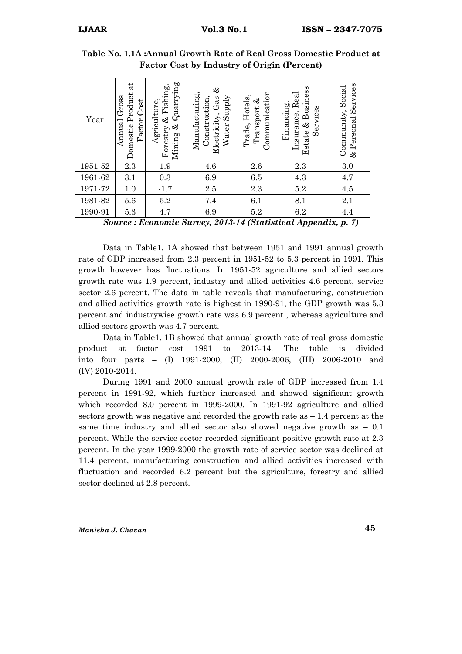| Year    | $\vec{a}$<br>Jomestic Product<br>Gross<br>Factor Cost<br>Annual | $\&$ Quarrying<br>Forestry & Fishing,<br>Agriculture,<br>Mining | ళ<br>Manufacturing,<br>Water Supply<br>Construction,<br>Electricity, Gas | Communication<br>Trade, Hotels,<br>Transport & | Estate & Business<br>Insurance, Real<br>Financing,<br>Services | Services<br>Community, Social<br>& Personal |
|---------|-----------------------------------------------------------------|-----------------------------------------------------------------|--------------------------------------------------------------------------|------------------------------------------------|----------------------------------------------------------------|---------------------------------------------|
| 1951-52 | 2.3                                                             | 1.9                                                             | 4.6                                                                      | 2.6                                            | 2.3                                                            | 3.0                                         |
| 1961-62 | 3.1                                                             | 0.3                                                             | 6.9                                                                      | 6.5                                            | 4.3                                                            | 4.7                                         |
| 1971-72 | 1.0                                                             | $-1.7$                                                          | $2.5\,$                                                                  | 2.3                                            | $5.2\,$                                                        | 4.5                                         |
| 1981-82 | 5.6                                                             | $5.2\,$                                                         | 7.4                                                                      | 6.1                                            | 8.1                                                            | 2.1                                         |
| 1990-91 | 5.3                                                             | 4.7                                                             | 6.9                                                                      | 5.2                                            | 6.2                                                            | 4.4                                         |
| $\sim$  | $\mathbf{r}$                                                    | $\bullet$<br>$\sim$                                             | 0.0101                                                                   | . .<br>$\sim$                                  | $\mathbf{v}$<br>. .                                            | $\mathbf{r}$<br>$\rightarrow$               |

Table No. 1.1A :Annual Growth Rate of Real Gross Domestic Product at Factor Cost by Industry of Origin (Percent)

Source : Economic Survey, 2013-14 (Statistical Appendix, p. 7)

 Data in Table1. 1A showed that between 1951 and 1991 annual growth rate of GDP increased from 2.3 percent in 1951-52 to 5.3 percent in 1991. This growth however has fluctuations. In 1951-52 agriculture and allied sectors growth rate was 1.9 percent, industry and allied activities 4.6 percent, service sector 2.6 percent. The data in table reveals that manufacturing, construction and allied activities growth rate is highest in 1990-91, the GDP growth was 5.3 percent and industrywise growth rate was 6.9 percent , whereas agriculture and allied sectors growth was 4.7 percent.

 Data in Table1. 1B showed that annual growth rate of real gross domestic product at factor cost 1991 to 2013-14. The table is divided into four parts – (I) 1991-2000, (II) 2000-2006, (III) 2006-2010 and (IV) 2010-2014.

 During 1991 and 2000 annual growth rate of GDP increased from 1.4 percent in 1991-92, which further increased and showed significant growth which recorded 8.0 percent in 1999-2000. In 1991-92 agriculture and allied sectors growth was negative and recorded the growth rate as  $-1.4$  percent at the same time industry and allied sector also showed negative growth as – 0.1 percent. While the service sector recorded significant positive growth rate at 2.3 percent. In the year 1999-2000 the growth rate of service sector was declined at 11.4 percent, manufacturing construction and allied activities increased with fluctuation and recorded 6.2 percent but the agriculture, forestry and allied sector declined at 2.8 percent.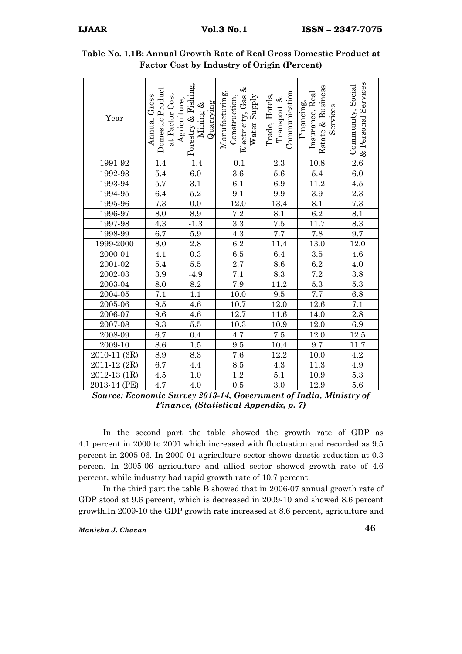| Year                | Domestic Product<br>at Factor Cost<br>Annual Gross | Forestry & Fishing,<br>Agriculture,<br>Quarrying<br>Mining & | ళ<br>Manufacturing,<br>Electricity, Gas<br>Construction,<br>Water Supply | Communication<br>Trade, Hotels,<br>Transport & | Estate & Business<br>Insurance, Real<br>Financing,<br>Services | & Personal Services<br>Community, Social |
|---------------------|----------------------------------------------------|--------------------------------------------------------------|--------------------------------------------------------------------------|------------------------------------------------|----------------------------------------------------------------|------------------------------------------|
| 1991-92             | 1.4                                                | $-1.4$                                                       | $-0.1$                                                                   | 2.3                                            | 10.8                                                           | $2.6\,$                                  |
| 1992-93             | 5.4                                                | 6.0                                                          | 3.6                                                                      | $5.6\,$                                        | 5.4                                                            | 6.0                                      |
| 1993-94             | 5.7                                                | 3.1                                                          | 6.1                                                                      | $6.9\,$                                        | 11.2                                                           | $4.5\,$                                  |
| 1994-95             | 6.4                                                | $5.2\,$                                                      | 9.1                                                                      | $\rm 9.9$                                      | $\rm 3.9$                                                      | $\overline{2.3}$                         |
| 1995-96             | 7.3                                                | $0.0\,$                                                      | 12.0                                                                     | 13.4                                           | 8.1                                                            | 7.3                                      |
| 1996-97             | 8.0                                                | 8.9                                                          | 7.2                                                                      | 8.1                                            | $6.2\,$                                                        | 8.1                                      |
| 1997-98             | 4.3                                                | $-1.3$                                                       | $3.3\,$                                                                  | $7.5\,$                                        | 11.7                                                           | $\overline{8.3}$                         |
| 1998-99             | 6.7                                                | 5.9                                                          | 4.3                                                                      | $7.7\,$                                        | 7.8                                                            | 9.7                                      |
| 1999-2000           | 8.0                                                | $\overline{2.8}$                                             | $6.2\,$                                                                  | 11.4                                           | 13.0                                                           | 12.0                                     |
| 2000-01             | 4.1                                                | $\rm 0.3$                                                    | $6.5\,$                                                                  | 6.4                                            | $\!.5$                                                         | $4.6\,$                                  |
| $2001 - 02$         | 5.4                                                | 5.5                                                          | 2.7                                                                      | $\!\!\!\!\!8.6$                                | 6.2                                                            | $4.0\,$                                  |
| $2002 - 03$         | 3.9                                                | $-4.9$                                                       | $7.1\,$                                                                  | 8.3                                            | $\overline{7.2}$                                               | $\rm 3.8$                                |
| 2003-04             | 8.0                                                | 8.2                                                          | 7.9                                                                      | 11.2                                           | $5.3\,$                                                        | $5.3\,$                                  |
| 2004-05             | 7.1                                                | 1.1                                                          | 10.0                                                                     | 9.5                                            | 7.7                                                            | $6.8\,$                                  |
| 2005-06             | 9.5                                                | 4.6                                                          | 10.7                                                                     | $12.0\,$                                       | $12.6\,$                                                       | $7.1\,$                                  |
| 2006-07             | 9.6                                                | $4.6\,$                                                      | 12.7                                                                     | 11.6                                           | 14.0                                                           | 2.8                                      |
| 2007-08             | 9.3                                                | $5.5\,$                                                      | $10.3\,$                                                                 | $10.9\,$                                       | $12.0\,$                                                       | 6.9                                      |
| 2008-09             | 6.7                                                | 0.4                                                          | 4.7                                                                      | $7.5\,$                                        | $12.0\,$                                                       | $12.5\,$                                 |
| 2009-10             | 8.6                                                | $1.5\,$                                                      | 9.5                                                                      | $10.4\,$                                       | 9.7                                                            | 11.7                                     |
| 2010-11<br>(3R)     | 8.9                                                | 8.3                                                          | 7.6                                                                      | $12.2\,$                                       | $10.0\,$                                                       | $4.2\,$                                  |
| $2011 - 12$<br>(2R) | 6.7                                                | 4.4                                                          | $\!\!\!\!\!8.5$                                                          | $\overline{4.3}$                               | 11.3                                                           | 4.9                                      |
| $2012 - 13$<br>(1R) | 4.5                                                | $1.0\,$                                                      | $1.2\,$                                                                  | $5.1\,$                                        | 10.9                                                           | $5.3\,$                                  |
| 2013-14 (PE)        | 4.7                                                | 4.0                                                          | $0.5\,$                                                                  | $3.0\,$                                        | 12.9                                                           | $5.6\,$                                  |

Table No. 1.1B: Annual Growth Rate of Real Gross Domestic Product at Factor Cost by Industry of Origin (Percent)

Source: Economic Survey 2013-14, Government of India, Ministry of Finance, (Statistical Appendix, p. 7)

 In the second part the table showed the growth rate of GDP as 4.1 percent in 2000 to 2001 which increased with fluctuation and recorded as 9.5 percent in 2005-06. In 2000-01 agriculture sector shows drastic reduction at 0.3 percen. In 2005-06 agriculture and allied sector showed growth rate of 4.6 percent, while industry had rapid growth rate of 10.7 percent.

 In the third part the table B showed that in 2006-07 annual growth rate of GDP stood at 9.6 percent, which is decreased in 2009-10 and showed 8.6 percent growth.In 2009-10 the GDP growth rate increased at 8.6 percent, agriculture and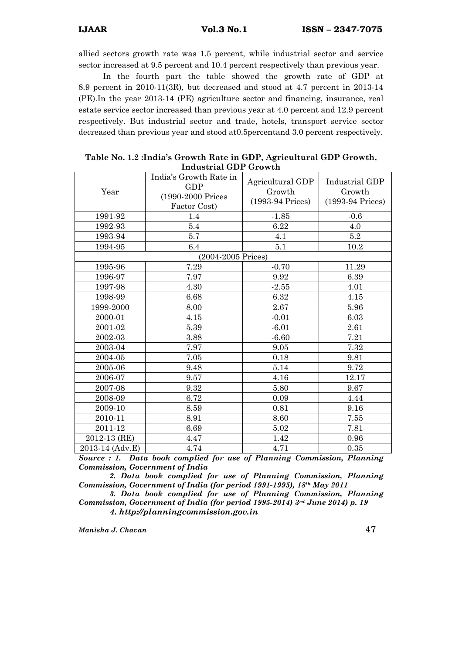allied sectors growth rate was 1.5 percent, while industrial sector and service sector increased at 9.5 percent and 10.4 percent respectively than previous year.

 In the fourth part the table showed the growth rate of GDP at 8.9 percent in 2010-11(3R), but decreased and stood at 4.7 percent in 2013-14 (PE).In the year 2013-14 (PE) agriculture sector and financing, insurance, real estate service sector increased than previous year at 4.0 percent and 12.9 percent respectively. But industrial sector and trade, hotels, transport service sector decreased than previous year and stood at0.5percentand 3.0 percent respectively.

| maastrial GDT Growth |                                                                           |                                                |                                              |  |  |  |
|----------------------|---------------------------------------------------------------------------|------------------------------------------------|----------------------------------------------|--|--|--|
| Year                 | India's Growth Rate in<br><b>GDP</b><br>(1990-2000 Prices<br>Factor Cost) | Agricultural GDP<br>Growth<br>(1993-94 Prices) | Industrial GDP<br>Growth<br>(1993-94 Prices) |  |  |  |
| 1991-92              | 1.4                                                                       | $-1.85$                                        | $-0.6$                                       |  |  |  |
| 1992-93              | 5.4                                                                       | 6.22                                           | 4.0                                          |  |  |  |
| 1993-94              | 5.7                                                                       | 4.1                                            | $5.2\,$                                      |  |  |  |
| 1994-95              | 6.4                                                                       | 5.1                                            | 10.2                                         |  |  |  |
|                      | (2004-2005 Prices)                                                        |                                                |                                              |  |  |  |
| 1995-96              | 7.29                                                                      | $-0.70$                                        | 11.29                                        |  |  |  |
| 1996-97              | 7.97                                                                      | 9.92                                           | 6.39                                         |  |  |  |
| 1997-98              | 4.30                                                                      | $-2.55$                                        | 4.01                                         |  |  |  |
| 1998-99              | 6.68                                                                      | 6.32                                           | 4.15                                         |  |  |  |
| 1999-2000            | 8.00                                                                      | 2.67                                           | 5.96                                         |  |  |  |
| 2000-01              | 4.15                                                                      | $-0.01$                                        | 6.03                                         |  |  |  |
| 2001-02              | 5.39                                                                      | $-6.01$                                        | 2.61                                         |  |  |  |
| 2002-03              | 3.88                                                                      | $-6.60$                                        | 7.21                                         |  |  |  |
| 2003-04              | 7.97                                                                      | 9.05                                           | 7.32                                         |  |  |  |
| 2004-05              | 7.05                                                                      | 0.18                                           | 9.81                                         |  |  |  |
| 2005-06              | 9.48                                                                      | 5.14                                           | 9.72                                         |  |  |  |
| 2006-07              | 9.57                                                                      | 4.16                                           | 12.17                                        |  |  |  |
| 2007-08              | 9.32                                                                      | 5.80                                           | 9.67                                         |  |  |  |
| 2008-09              | 6.72                                                                      | 0.09                                           | 4.44                                         |  |  |  |
| 2009-10              | 8.59                                                                      | 0.81                                           | 9.16                                         |  |  |  |
| 2010-11              | 8.91                                                                      | 8.60                                           | 7.55                                         |  |  |  |
| 2011-12              | 6.69                                                                      | 5.02                                           | 7.81                                         |  |  |  |
| 2012-13 (RE)         | 4.47                                                                      | 1.42                                           | 0.96                                         |  |  |  |
| 2013-14 (Adv.E)      | 4.74                                                                      | 4.71                                           | 0.35                                         |  |  |  |

| Table No. 1.2 : India's Growth Rate in GDP, Agricultural GDP Growth, |
|----------------------------------------------------------------------|
| Industrial GDP Growth                                                |

Source : 1. Data book complied for use of Planning Commission, Planning Commission, Government of India

 2. Data book complied for use of Planning Commission, Planning Commission, Government of India (for period 1991-1995), 18th May 2011

 3. Data book complied for use of Planning Commission, Planning Commission, Government of India (for period 1995-2014)  $3<sup>rd</sup>$  June 2014) p. 19 4. http://planningcommission.gov.in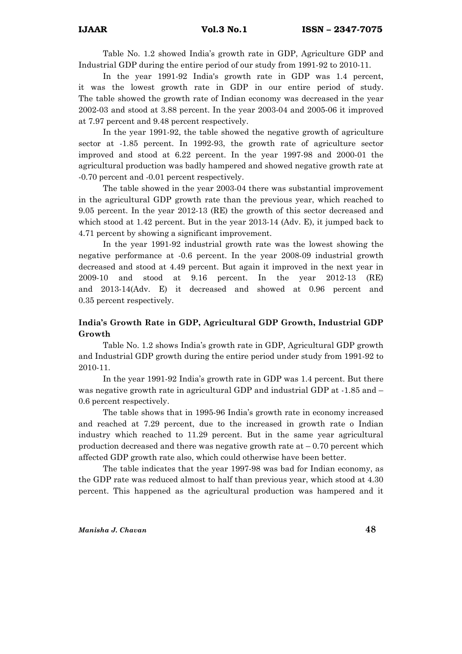Table No. 1.2 showed India's growth rate in GDP, Agriculture GDP and Industrial GDP during the entire period of our study from 1991-92 to 2010-11.

 In the year 1991-92 India's growth rate in GDP was 1.4 percent, it was the lowest growth rate in GDP in our entire period of study. The table showed the growth rate of Indian economy was decreased in the year 2002-03 and stood at 3.88 percent. In the year 2003-04 and 2005-06 it improved at 7.97 percent and 9.48 percent respectively.

 In the year 1991-92, the table showed the negative growth of agriculture sector at -1.85 percent. In 1992-93, the growth rate of agriculture sector improved and stood at 6.22 percent. In the year 1997-98 and 2000-01 the agricultural production was badly hampered and showed negative growth rate at -0.70 percent and -0.01 percent respectively.

 The table showed in the year 2003-04 there was substantial improvement in the agricultural GDP growth rate than the previous year, which reached to 9.05 percent. In the year 2012-13 (RE) the growth of this sector decreased and which stood at 1.42 percent. But in the year 2013-14 (Adv. E), it jumped back to 4.71 percent by showing a significant improvement.

 In the year 1991-92 industrial growth rate was the lowest showing the negative performance at -0.6 percent. In the year 2008-09 industrial growth decreased and stood at 4.49 percent. But again it improved in the next year in 2009-10 and stood at 9.16 percent. In the year 2012-13 (RE) and 2013-14(Adv. E) it decreased and showed at 0.96 percent and 0.35 percent respectively.

## India's Growth Rate in GDP, Agricultural GDP Growth, Industrial GDP Growth

 Table No. 1.2 shows India's growth rate in GDP, Agricultural GDP growth and Industrial GDP growth during the entire period under study from 1991-92 to 2010-11.

 In the year 1991-92 India's growth rate in GDP was 1.4 percent. But there was negative growth rate in agricultural GDP and industrial GDP at -1.85 and – 0.6 percent respectively.

 The table shows that in 1995-96 India's growth rate in economy increased and reached at 7.29 percent, due to the increased in growth rate o Indian industry which reached to 11.29 percent. But in the same year agricultural production decreased and there was negative growth rate at  $-0.70$  percent which affected GDP growth rate also, which could otherwise have been better.

 The table indicates that the year 1997-98 was bad for Indian economy, as the GDP rate was reduced almost to half than previous year, which stood at 4.30 percent. This happened as the agricultural production was hampered and it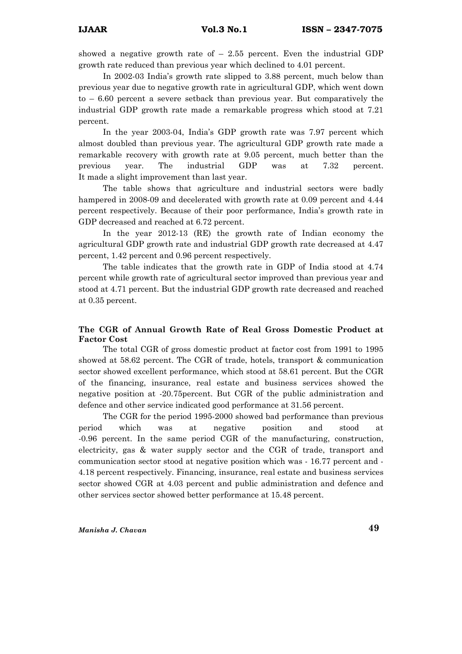showed a negative growth rate of  $-2.55$  percent. Even the industrial GDP growth rate reduced than previous year which declined to 4.01 percent.

 In 2002-03 India's growth rate slipped to 3.88 percent, much below than previous year due to negative growth rate in agricultural GDP, which went down to – 6.60 percent a severe setback than previous year. But comparatively the industrial GDP growth rate made a remarkable progress which stood at 7.21 percent.

 In the year 2003-04, India's GDP growth rate was 7.97 percent which almost doubled than previous year. The agricultural GDP growth rate made a remarkable recovery with growth rate at 9.05 percent, much better than the previous year. The industrial GDP was at 7.32 percent. It made a slight improvement than last year.

 The table shows that agriculture and industrial sectors were badly hampered in 2008-09 and decelerated with growth rate at 0.09 percent and 4.44 percent respectively. Because of their poor performance, India's growth rate in GDP decreased and reached at 6.72 percent.

 In the year 2012-13 (RE) the growth rate of Indian economy the agricultural GDP growth rate and industrial GDP growth rate decreased at 4.47 percent, 1.42 percent and 0.96 percent respectively.

 The table indicates that the growth rate in GDP of India stood at 4.74 percent while growth rate of agricultural sector improved than previous year and stood at 4.71 percent. But the industrial GDP growth rate decreased and reached at 0.35 percent.

## The CGR of Annual Growth Rate of Real Gross Domestic Product at Factor Cost

 The total CGR of gross domestic product at factor cost from 1991 to 1995 showed at 58.62 percent. The CGR of trade, hotels, transport & communication sector showed excellent performance, which stood at 58.61 percent. But the CGR of the financing, insurance, real estate and business services showed the negative position at -20.75percent. But CGR of the public administration and defence and other service indicated good performance at 31.56 percent.

 The CGR for the period 1995-2000 showed bad performance than previous period which was at negative position and stood at -0.96 percent. In the same period CGR of the manufacturing, construction, electricity, gas & water supply sector and the CGR of trade, transport and communication sector stood at negative position which was - 16.77 percent and - 4.18 percent respectively. Financing, insurance, real estate and business services sector showed CGR at 4.03 percent and public administration and defence and other services sector showed better performance at 15.48 percent.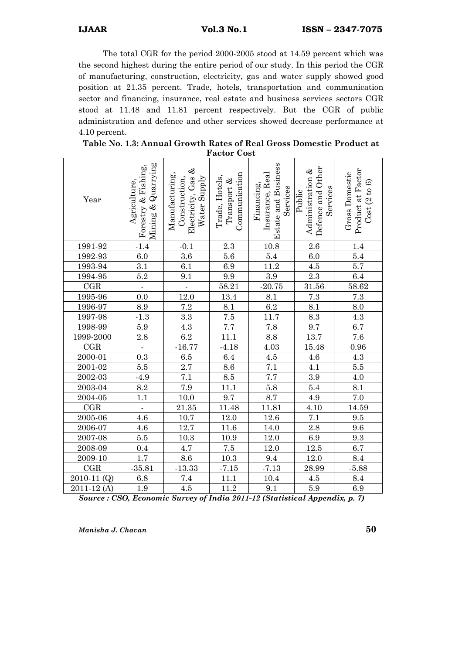The total CGR for the period 2000-2005 stood at 14.59 percent which was the second highest during the entire period of our study. In this period the CGR of manufacturing, construction, electricity, gas and water supply showed good position at 21.35 percent. Trade, hotels, transportation and communication sector and financing, insurance, real estate and business services sectors CGR stood at 11.48 and 11.81 percent respectively. But the CGR of public administration and defence and other services showed decrease performance at 4.10 percent.

|             |                                                              |                                                                       | ι αυισι<br><b>COS</b>                          |                                                                         |                                                             |                                                     |
|-------------|--------------------------------------------------------------|-----------------------------------------------------------------------|------------------------------------------------|-------------------------------------------------------------------------|-------------------------------------------------------------|-----------------------------------------------------|
| Year        | Mining & Quarrying<br>Fishing,<br>Agriculture,<br>Forestry & | Electricity, Gas &<br>Manufacturing,<br>Construction,<br>Water Supply | Communication<br>Trade, Hotels,<br>Transport & | <b>Estate and Business</b><br>Insurance, Real<br>Financing,<br>Services | Defence and Other<br>Administration &<br>Services<br>Public | Product at Factor<br>Gross Domestic<br>Cost(2 to 6) |
| 1991-92     | $-1.4$                                                       | $-0.1$                                                                | 2.3                                            | 10.8                                                                    | 2.6                                                         | 1.4                                                 |
| 1992-93     | $6.0\,$                                                      | 3.6                                                                   | 5.6                                            | 5.4                                                                     | 6.0                                                         | 5.4                                                 |
| 1993-94     | 3.1                                                          | 6.1                                                                   | 6.9                                            | 11.2                                                                    | $4.5\,$                                                     | 5.7                                                 |
| 1994-95     | 5.2                                                          | 9.1                                                                   | $\overline{9.9}$                               | $\overline{3.9}$                                                        | 2.3                                                         | $6.4\,$                                             |
| CGR         | $\omega$                                                     | $\overline{\phantom{a}}$                                              | 58.21                                          | $-20.75$                                                                | 31.56                                                       | 58.62                                               |
| 1995-96     | 0.0                                                          | 12.0                                                                  | 13.4                                           | 8.1                                                                     | 7.3                                                         | $7.3\,$                                             |
| 1996-97     | 8.9                                                          | 7.2                                                                   | 8.1                                            | 6.2                                                                     | 8.1                                                         | 8.0                                                 |
| 1997-98     | $-1.3$                                                       | $3.3\,$                                                               | 7.5                                            | 11.7                                                                    | 8.3                                                         | $4.3\,$                                             |
| 1998-99     | $5.9\,$                                                      | 4.3                                                                   | $\overline{7.7}$                               | 7.8                                                                     | 9.7                                                         | 6.7                                                 |
| 1999-2000   | $2.8\,$                                                      | 6.2                                                                   | 11.1                                           | 8.8                                                                     | 13.7                                                        | 7.6                                                 |
| CGR         | Ĭ,                                                           | $-16.77$                                                              | $-4.18$                                        | 4.03                                                                    | 15.48                                                       | 0.96                                                |
| 2000-01     | 0.3                                                          | $6.5\,$                                                               | $6.4\,$                                        | $4.5\,$                                                                 | $4.6\,$                                                     | $4.3\,$                                             |
| 2001-02     | 5.5                                                          | $2.7\,$                                                               | 8.6                                            | 7.1                                                                     | 4.1                                                         | $\overline{5.5}$                                    |
| 2002-03     | $-4.9$                                                       | $7.1\,$                                                               | 8.5                                            | $7.7\,$                                                                 | 3.9                                                         | 4.0                                                 |
| 2003-04     | 8.2                                                          | 7.9                                                                   | 11.1                                           | $5.8\,$                                                                 | 5.4                                                         | 8.1                                                 |
| $2004 - 05$ | $\overline{1.1}$                                             | 10.0                                                                  | 9.7                                            | 8.7                                                                     | $4.9\,$                                                     | 7.0                                                 |
| CGR         | ÷                                                            | 21.35                                                                 | 11.48                                          | 11.81                                                                   | 4.10                                                        | 14.59                                               |
| 2005-06     | 4.6                                                          | 10.7                                                                  | $12.0\,$                                       | $12.6\,$                                                                | 7.1                                                         | 9.5                                                 |
| 2006-07     | 4.6                                                          | 12.7                                                                  | $11.6\,$                                       | 14.0                                                                    | 2.8                                                         | 9.6                                                 |
| 2007-08     | $5.5\,$                                                      | 10.3                                                                  | 10.9                                           | 12.0                                                                    | 6.9                                                         | 9.3                                                 |
| 2008-09     | 0.4                                                          | 4.7                                                                   | $7.5\,$                                        | $12.0\,$                                                                | $12.5\,$                                                    | 6.7                                                 |
| 2009-10     | 1.7                                                          | 8.6                                                                   | $10.3\,$                                       | 9.4                                                                     | 12.0                                                        | 8.4                                                 |
| CGR         | $-35.81$                                                     | $-13.33$                                                              | $-7.15$                                        | $-7.13$                                                                 | 28.99                                                       | $-5.88$                                             |
| 2010-11 (Q) | $6.8\,$                                                      | 7.4                                                                   | $11.1\,$                                       | $10.4\,$                                                                | $4.5\,$                                                     | 8.4                                                 |
| 2011-12(A)  | 1.9                                                          | 4.5                                                                   | 11.2                                           | 9.1                                                                     | 5.9                                                         | 6.9                                                 |

| Table No. 1.3: Annual Growth Rates of Real Gross Domestic Product at |
|----------------------------------------------------------------------|
| <b>Factor Cost</b>                                                   |

Source : CSO, Economic Survey of India 2011-12 (Statistical Appendix, p. 7)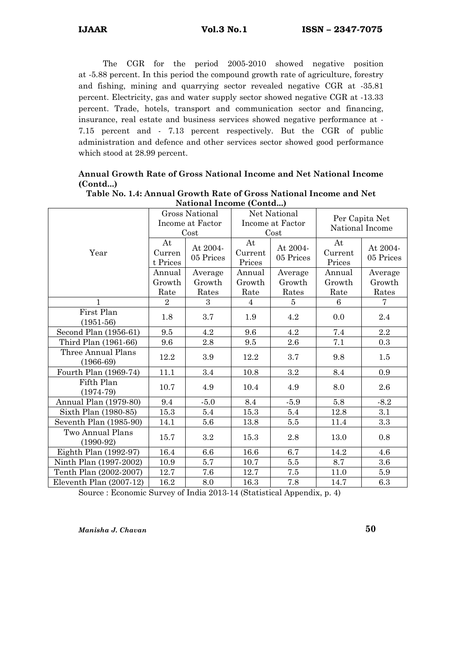The CGR for the period 2005-2010 showed negative position at -5.88 percent. In this period the compound growth rate of agriculture, forestry and fishing, mining and quarrying sector revealed negative CGR at -35.81 percent. Electricity, gas and water supply sector showed negative CGR at -13.33 percent. Trade, hotels, transport and communication sector and financing, insurance, real estate and business services showed negative performance at - 7.15 percent and - 7.13 percent respectively. But the CGR of public administration and defence and other services sector showed good performance which stood at 28.99 percent.

## Annual Growth Rate of Gross National Income and Net National Income (Contd...)

|                                   | Gross National<br>Income at Factor<br>Cost |                            | Net National<br>Income at Factor<br>Cost |                            | Per Capita Net<br>National Income |                            |
|-----------------------------------|--------------------------------------------|----------------------------|------------------------------------------|----------------------------|-----------------------------------|----------------------------|
| Year                              | At<br>Curren<br>t Prices                   | At 2004-<br>05 Prices      | At<br>Current<br>Prices                  | At 2004-<br>05 Prices      | At<br>Current<br>Prices           | At 2004-<br>05 Prices      |
|                                   | Annual<br>Growth<br>Rate                   | Average<br>Growth<br>Rates | Annual<br>Growth<br>Rate                 | Average<br>Growth<br>Rates | Annual<br>Growth<br>Rate          | Average<br>Growth<br>Rates |
| 1                                 | $\overline{2}$                             | 3                          | $\overline{4}$                           | 5                          | 6                                 | 7                          |
| First Plan<br>$(1951-56)$         | 1.8                                        | 3.7                        | 1.9                                      | 4.2                        | 0.0                               | 2.4                        |
| Second Plan (1956-61)             | 9.5                                        | 4.2                        | 9.6                                      | 4.2                        | 7.4                               | $2.2\,$                    |
| Third Plan (1961-66)              | 9.6                                        | 2.8                        | 9.5                                      | 2.6                        | 7.1                               | 0.3                        |
| Three Annual Plans<br>$(1966-69)$ | 12.2                                       | 3.9                        | 12.2                                     | 3.7                        | 9.8                               | 1.5                        |
| Fourth Plan (1969-74)             | 11.1                                       | 3.4                        | 10.8                                     | $\!.2$                     | 8.4                               | 0.9                        |
| Fifth Plan<br>$(1974-79)$         | 10.7                                       | 4.9                        | 10.4                                     | 4.9                        | 8.0                               | 2.6                        |
| Annual Plan (1979-80)             | 9.4                                        | $-5.0$                     | 8.4                                      | $-5.9$                     | 5.8                               | $-8.2$                     |
| Sixth Plan (1980-85)              | 15.3                                       | 5.4                        | 15.3                                     | 5.4                        | 12.8                              | 3.1                        |
| Seventh Plan (1985-90)            | 14.1                                       | 5.6                        | 13.8                                     | 5.5                        | 11.4                              | 3.3                        |
| Two Annual Plans<br>$(1990-92)$   | 15.7                                       | $3.2\,$                    | 15.3                                     | $2.8\,$                    | 13.0                              | 0.8                        |
| Eighth Plan (1992-97)             | 16.4                                       | $6.6\,$                    | 16.6                                     | 6.7                        | 14.2                              | 4.6                        |
| Ninth Plan (1997-2002)            | 10.9                                       | 5.7                        | 10.7                                     | 5.5                        | 8.7                               | 3.6                        |
| Tenth Plan (2002-2007)            | 12.7                                       | 7.6                        | 12.7                                     | 7.5                        | 11.0                              | 5.9                        |
| Eleventh Plan (2007-12)           | 16.2                                       | 8.0                        | 16.3                                     | 7.8                        | 14.7                              | 6.3                        |

| Table No. 1.4: Annual Growth Rate of Gross National Income and Net |
|--------------------------------------------------------------------|
| National Income (Contd)                                            |

Source : Economic Survey of India 2013-14 (Statistical Appendix, p. 4)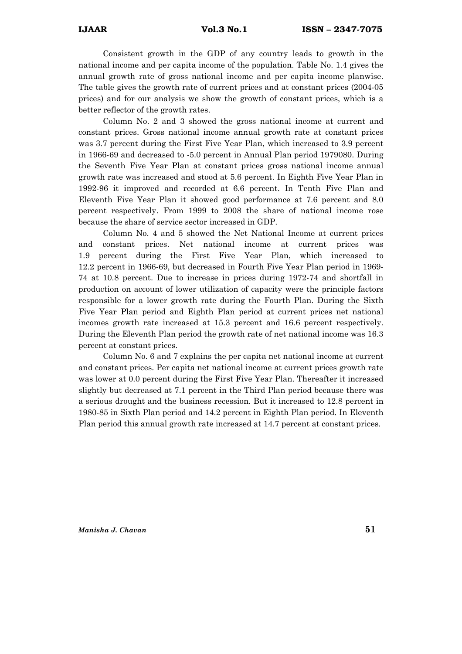Consistent growth in the GDP of any country leads to growth in the national income and per capita income of the population. Table No. 1.4 gives the annual growth rate of gross national income and per capita income planwise. The table gives the growth rate of current prices and at constant prices (2004-05 prices) and for our analysis we show the growth of constant prices, which is a better reflector of the growth rates.

 Column No. 2 and 3 showed the gross national income at current and constant prices. Gross national income annual growth rate at constant prices was 3.7 percent during the First Five Year Plan, which increased to 3.9 percent in 1966-69 and decreased to -5.0 percent in Annual Plan period 1979080. During the Seventh Five Year Plan at constant prices gross national income annual growth rate was increased and stood at 5.6 percent. In Eighth Five Year Plan in 1992-96 it improved and recorded at 6.6 percent. In Tenth Five Plan and Eleventh Five Year Plan it showed good performance at 7.6 percent and 8.0 percent respectively. From 1999 to 2008 the share of national income rose because the share of service sector increased in GDP.

 Column No. 4 and 5 showed the Net National Income at current prices and constant prices. Net national income at current prices was 1.9 percent during the First Five Year Plan, which increased to 12.2 percent in 1966-69, but decreased in Fourth Five Year Plan period in 1969- 74 at 10.8 percent. Due to increase in prices during 1972-74 and shortfall in production on account of lower utilization of capacity were the principle factors responsible for a lower growth rate during the Fourth Plan. During the Sixth Five Year Plan period and Eighth Plan period at current prices net national incomes growth rate increased at 15.3 percent and 16.6 percent respectively. During the Eleventh Plan period the growth rate of net national income was 16.3 percent at constant prices.

 Column No. 6 and 7 explains the per capita net national income at current and constant prices. Per capita net national income at current prices growth rate was lower at 0.0 percent during the First Five Year Plan. Thereafter it increased slightly but decreased at 7.1 percent in the Third Plan period because there was a serious drought and the business recession. But it increased to 12.8 percent in 1980-85 in Sixth Plan period and 14.2 percent in Eighth Plan period. In Eleventh Plan period this annual growth rate increased at 14.7 percent at constant prices.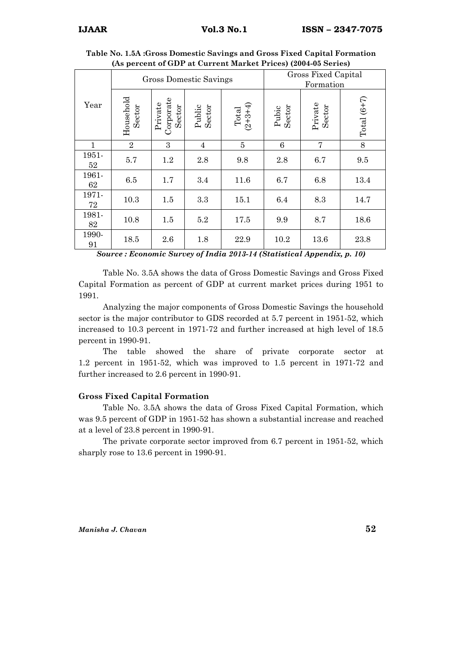|             |                     |                                | <b>Gross Domestic Savings</b> | Gross Fixed Capital<br>Formation |                 |                   |               |
|-------------|---------------------|--------------------------------|-------------------------------|----------------------------------|-----------------|-------------------|---------------|
| Year        | Household<br>Sector | Corporate<br>Private<br>Sector | Public<br>Sector              | Total<br>(2+3+4)                 | Sector<br>Pubic | Private<br>Sector | Total $(6+7)$ |
| 1           | $\overline{2}$      | 3                              | 4                             | $\overline{5}$                   | 6               | $\overline{7}$    | 8             |
| 1951-<br>52 | 5.7                 | 1.2                            | 2.8                           | 9.8                              | 2.8             | 6.7               | 9.5           |
| 1961-<br>62 | 6.5                 | 1.7                            | 3.4                           | 11.6                             | 6.7             | 6.8               | 13.4          |
| 1971-<br>72 | 10.3                | 1.5                            | 3.3                           | 15.1                             | 6.4             | 8.3               | 14.7          |
| 1981-<br>82 | 10.8                | 1.5                            | 5.2                           | 17.5                             | 9.9             | 8.7               | 18.6          |
| 1990-<br>91 | 18.5                | 2.6                            | 1.8                           | 22.9                             | 10.2            | 13.6              | 23.8          |

Table No. 1.5A :Gross Domestic Savings and Gross Fixed Capital Formation (As percent of GDP at Current Market Prices) (2004-05 Series)

Source : Economic Survey of India 2013-14 (Statistical Appendix, p. 10)

 Table No. 3.5A shows the data of Gross Domestic Savings and Gross Fixed Capital Formation as percent of GDP at current market prices during 1951 to 1991.

 Analyzing the major components of Gross Domestic Savings the household sector is the major contributor to GDS recorded at 5.7 percent in 1951-52, which increased to 10.3 percent in 1971-72 and further increased at high level of 18.5 percent in 1990-91.

 The table showed the share of private corporate sector at 1.2 percent in 1951-52, which was improved to 1.5 percent in 1971-72 and further increased to 2.6 percent in 1990-91.

#### Gross Fixed Capital Formation

 Table No. 3.5A shows the data of Gross Fixed Capital Formation, which was 9.5 percent of GDP in 1951-52 has shown a substantial increase and reached at a level of 23.8 percent in 1990-91.

 The private corporate sector improved from 6.7 percent in 1951-52, which sharply rose to 13.6 percent in 1990-91.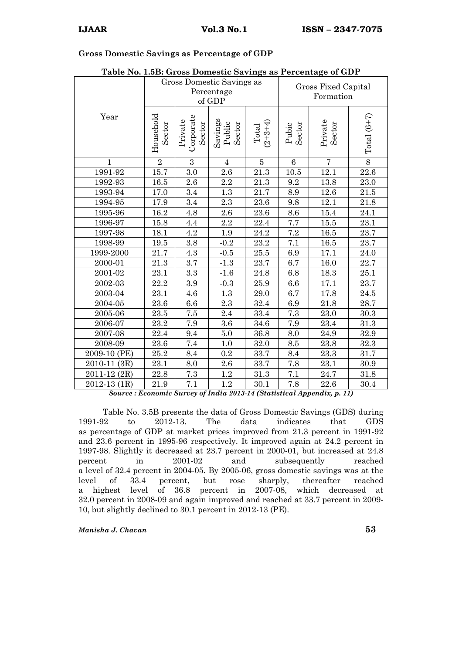#### Gross Domestic Savings as Percentage of GDP

|              | Gross Domestic Savings as<br>Percentage<br>of GDP |                                |                             |                    | Gross Fixed Capital<br>Formation |                   |               |
|--------------|---------------------------------------------------|--------------------------------|-----------------------------|--------------------|----------------------------------|-------------------|---------------|
| Year         | Household<br>Sector                               | Corporate<br>Private<br>Sector | Savings<br>Public<br>Sector | $(2+3+4)$<br>Total | Pubic<br>Sector                  | Private<br>Sector | Total $(6+7)$ |
| $\mathbf{1}$ | $\overline{2}$                                    | 3                              | $\overline{4}$              | $\overline{5}$     | $6\phantom{.}6$                  | $\overline{7}$    | $8\,$         |
| 1991-92      | 15.7                                              | 3.0                            | 2.6                         | 21.3               | 10.5                             | 12.1              | 22.6          |
| 1992-93      | $16.5\,$                                          | 2.6                            | 2.2                         | 21.3               | 9.2                              | $13.8\,$          | $23.0\,$      |
| 1993-94      | 17.0                                              | 3.4                            | 1.3                         | 21.7               | 8.9                              | 12.6              | 21.5          |
| 1994-95      | 17.9                                              | $3.4\,$                        | 2.3                         | 23.6               | 9.8                              | 12.1              | 21.8          |
| 1995-96      | 16.2                                              | 4.8                            | 2.6                         | 23.6               | 8.6                              | 15.4              | 24.1          |
| 1996-97      | 15.8                                              | 4.4                            | $2.2\,$                     | 22.4               | 7.7                              | 15.5              | 23.1          |
| 1997-98      | 18.1                                              | 4.2                            | $1.9\,$                     | 24.2               | 7.2                              | $16.5\,$          | 23.7          |
| 1998-99      | 19.5                                              | 3.8                            | $-0.2$                      | 23.2               | 7.1                              | 16.5              | 23.7          |
| 1999-2000    | 21.7                                              | 4.3                            | $-0.5$                      | 25.5               | 6.9                              | 17.1              | 24.0          |
| 2000-01      | 21.3                                              | $3.7\,$                        | $-1.3$                      | 23.7               | 6.7                              | 16.0              | 22.7          |
| 2001-02      | 23.1                                              | 3.3                            | $-1.6$                      | 24.8               | 6.8                              | 18.3              | 25.1          |
| 2002-03      | 22.2                                              | 3.9                            | $-0.3$                      | 25.9               | 6.6                              | 17.1              | 23.7          |
| 2003-04      | 23.1                                              | 4.6                            | 1.3                         | 29.0               | 6.7                              | 17.8              | 24.5          |
| 2004-05      | 23.6                                              | $6.6\,$                        | 2.3                         | 32.4               | 6.9                              | 21.8              | 28.7          |
| 2005-06      | $23.5\,$                                          | $7.5\,$                        | 2.4                         | 33.4               | 7.3                              | 23.0              | $30.3\,$      |
| 2006-07      | 23.2                                              | 7.9                            | 3.6                         | 34.6               | 7.9                              | 23.4              | 31.3          |
| 2007-08      | 22.4                                              | 9.4                            | 5.0                         | 36.8               | $\!\!\!\!\!8.0$                  | 24.9              | 32.9          |
| 2008-09      | 23.6                                              | 7.4                            | $1.0\,$                     | 32.0               | 8.5                              | 23.8              | 32.3          |
| 2009-10 (PE) | 25.2                                              | 8.4                            | 0.2                         | 33.7               | 8.4                              | 23.3              | 31.7          |
| 2010-11 (3R) | 23.1                                              | $8.0\,$                        | $2.6\,$                     | 33.7               | 7.8                              | 23.1              | 30.9          |
| 2011-12 (2R) | 22.8                                              | 7.3                            | 1.2                         | 31.3               | 7.1                              | 24.7              | 31.8          |
| 2012-13 (1R) | 21.9                                              | 7.1                            | $1.2\,$                     | 30.1               | 7.8                              | 22.6              | 30.4          |

## Table No. 1.5B: Gross Domestic Savings as Percentage of GDP

Source : Economic Survey of India 2013-14 (Statistical Appendix, p. 11)

Table No. 3.5B presents the data of Gross Domestic Savings (GDS) during 1991-92 to 2012-13. The data indicates that GDS 1991-92 to 2012-13. The data indicates that GDS as percentage of GDP at market prices improved from 21.3 percent in 1991-92 and 23.6 percent in 1995-96 respectively. It improved again at 24.2 percent in 1997-98. Slightly it decreased at 23.7 percent in 2000-01, but increased at 24.8 percent in 2001-02 and subsequently reached a level of 32.4 percent in 2004-05. By 2005-06, gross domestic savings was at the level of 33.4 percent, but rose sharply, thereafter reached a highest level of 36.8 percent in 2007-08, which decreased at 32.0 percent in 2008-09 and again improved and reached at 33.7 percent in 2009- 10, but slightly declined to 30.1 percent in 2012-13 (PE).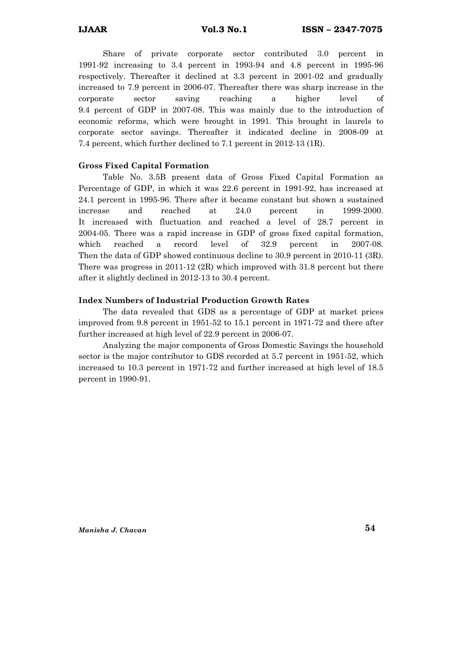Share of private corporate sector contributed 3.0 percent in 1991-92 increasing to 3.4 percent in 1993-94 and 4.8 percent in 1995-96 respectively. Thereafter it declined at 3.3 percent in 2001-02 and gradually increased to 7.9 percent in 2006-07. Thereafter there was sharp increase in the corporate sector saving reaching a higher level of 9.4 percent of GDP in 2007-08. This was mainly due to the introduction of economic reforms, which were brought in 1991. This brought in laurels to corporate sector savings. Thereafter it indicated decline in 2008-09 at 7.4 percent, which further declined to 7.1 percent in 2012-13 (1R).

#### Gross Fixed Capital Formation

 Table No. 3.5B present data of Gross Fixed Capital Formation as Percentage of GDP, in which it was 22.6 percent in 1991-92, has increased at 24.1 percent in 1995-96. There after it became constant but shown a sustained increase and reached at 24.0 percent in 1999-2000. It increased with fluctuation and reached a level of 28.7 percent in 2004-05. There was a rapid increase in GDP of gross fixed capital formation, which reached a record level of 32.9 percent in 2007-08. Then the data of GDP showed continuous decline to 30.9 percent in 2010-11 (3R). There was progress in 2011-12 (2R) which improved with 31.8 percent but there after it slightly declined in 2012-13 to 30.4 percent.

#### Index Numbers of Industrial Production Growth Rates

 The data revealed that GDS as a percentage of GDP at market prices improved from 9.8 percent in 1951-52 to 15.1 percent in 1971-72 and there after further increased at high level of 22.9 percent in 2006-07.

 Analyzing the major components of Gross Domestic Savings the household sector is the major contributor to GDS recorded at 5.7 percent in 1951-52, which increased to 10.3 percent in 1971-72 and further increased at high level of 18.5 percent in 1990-91.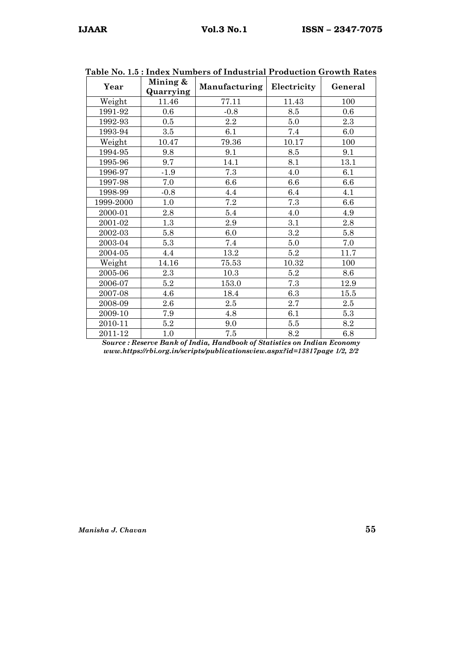| Year             | Mining &<br>Quarrying | Manufacturing | Electricity | General |
|------------------|-----------------------|---------------|-------------|---------|
| Weight           | 11.46                 | 77.11         | 11.43       | 100     |
| 1991-92          | 0.6                   | $-0.8$        | 8.5         | 0.6     |
| 1992-93          | $0.5\,$               | $2.2\,$       | $5.0\,$     | $2.3\,$ |
| 1993-94          | $3.5\,$               | 6.1           | 7.4         | 6.0     |
| Weight           | 10.47                 | 79.36         | 10.17       | 100     |
| 1994-95          | 9.8                   | 9.1           | 8.5         | 9.1     |
| 1995-96          | 9.7                   | 14.1          | $8.1\,$     | 13.1    |
| 1996-97          | $-1.9$                | 7.3           | 4.0         | 6.1     |
| 1997-98          | 7.0                   | 6.6           | 6.6         | 6.6     |
| 1998-99          | $-0.8$                | 4.4           | 6.4         | 4.1     |
| 1999-2000        | 1.0                   | $7.2\,$       | 7.3         | 6.6     |
| 2000-01          | 2.8                   | $5.4\,$       | 4.0         | 4.9     |
| 2001-02          | $1.3\,$               | $2.9\,$       | 3.1         | 2.8     |
| 2002-03          | 5.8                   | 6.0           | 3.2         | 5.8     |
| 2003-04          | 5.3                   | 7.4           | $5.0\,$     | 7.0     |
| 2004-05          | 4.4                   | 13.2          | $5.2\,$     | 11.7    |
| Weight           | 14.16                 | 75.53         | 10.32       | 100     |
| $2005\hbox{-}06$ | 2.3                   | 10.3          | $5.2\,$     | 8.6     |
| 2006-07          | 5.2                   | 153.0         | 7.3         | 12.9    |
| 2007-08          | 4.6                   | 18.4          | $6.3\,$     | 15.5    |
| 2008-09          | $2.6\,$               | 2.5           | 2.7         | 2.5     |
| 2009-10          | 7.9                   | 4.8           | 6.1         | $5.3\,$ |
| 2010-11          | 5.2                   | 9.0           | $5.5\,$     | 8.2     |
| 2011-12          | 1.0                   | 7.5           | 8.2         | 6.8     |

| Table No. 1.5 : Index Numbers of Industrial Production Growth Rates |  |  |  |
|---------------------------------------------------------------------|--|--|--|
|---------------------------------------------------------------------|--|--|--|

Source : Reserve Bank of India, Handbook of Statistics on Indian Economy www.https://rbi.org.in/scripts/publicationsview.aspx?id=13817page 1/2, 2/2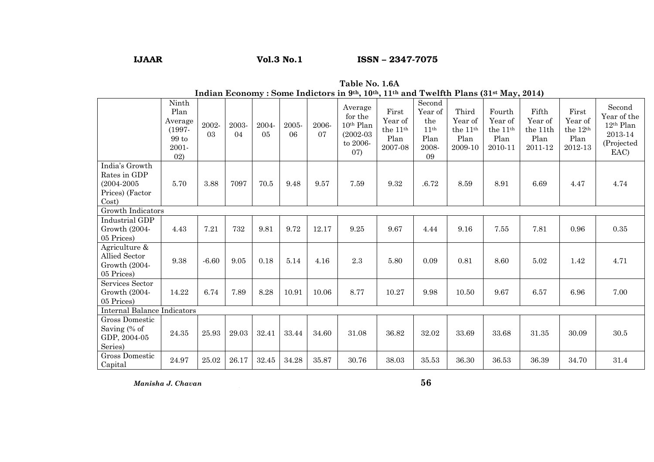## IJAAR Vol.3 No.1 ISSN – 2347-7075

| Indian Economy : Some Indictors in $3^{th}$ , $10^{th}$ , $11^{th}$ and Twellth Plans ( $31^{st}$ May, $2014$ ) |                                                                            |             |             |                         |             |             |                                                                               |                                                          |                                                                     |                                                             |                                                              |                                                 |                                                             |                                                                                 |
|-----------------------------------------------------------------------------------------------------------------|----------------------------------------------------------------------------|-------------|-------------|-------------------------|-------------|-------------|-------------------------------------------------------------------------------|----------------------------------------------------------|---------------------------------------------------------------------|-------------------------------------------------------------|--------------------------------------------------------------|-------------------------------------------------|-------------------------------------------------------------|---------------------------------------------------------------------------------|
|                                                                                                                 | Ninth<br>Plan<br>Average<br>$(1997 -$<br>$99\,\mathrm{to}$<br>2001-<br>02) | 2002-<br>03 | 2003-<br>04 | 2004-<br>0 <sub>5</sub> | 2005-<br>06 | 2006-<br>07 | Average<br>for the<br>10 <sup>th</sup> Plan<br>$(2002-03)$<br>to 2006-<br>07) | First<br>Year of<br>the $11^{\rm th}$<br>Plan<br>2007-08 | Second<br>Year of<br>the<br>11 <sup>th</sup><br>Plan<br>2008-<br>09 | Third<br>Year of<br>the 11 <sup>th</sup><br>Plan<br>2009-10 | Fourth<br>Year of<br>the 11 <sup>th</sup><br>Plan<br>2010-11 | Fifth<br>Year of<br>the 11th<br>Plan<br>2011-12 | First<br>Year of<br>the 12 <sup>th</sup><br>Plan<br>2012-13 | Second<br>Year of the<br>12 <sup>th</sup> Plan<br>2013-14<br>(Projected<br>EAC) |
| India's Growth<br>Rates in GDP<br>$(2004 - 2005)$<br>Prices) (Factor<br>Cost)                                   | 5.70                                                                       | 3.88        | 7097        | 70.5                    | 9.48        | 9.57        | 7.59                                                                          | 9.32                                                     | .6.72                                                               | 8.59                                                        | 8.91                                                         | 6.69                                            | 4.47                                                        | 4.74                                                                            |
| Growth Indicators                                                                                               |                                                                            |             |             |                         |             |             |                                                                               |                                                          |                                                                     |                                                             |                                                              |                                                 |                                                             |                                                                                 |
| Industrial GDP<br>Growth (2004-<br>05 Prices)                                                                   | 4.43                                                                       | 7.21        | 732         | 9.81                    | 9.72        | 12.17       | 9.25                                                                          | 9.67                                                     | 4.44                                                                | 9.16                                                        | 7.55                                                         | 7.81                                            | 0.96                                                        | 0.35                                                                            |
| Agriculture &<br>Allied Sector<br>Growth (2004-<br>05 Prices)                                                   | 9.38                                                                       | $-6.60$     | 9.05        | 0.18                    | 5.14        | 4.16        | 2.3                                                                           | 5.80                                                     | 0.09                                                                | 0.81                                                        | 8.60                                                         | 5.02                                            | 1.42                                                        | 4.71                                                                            |
| Services Sector<br>Growth (2004-<br>05 Prices)                                                                  | 14.22                                                                      | 6.74        | 7.89        | 8.28                    | 10.91       | 10.06       | 8.77                                                                          | 10.27                                                    | 9.98                                                                | 10.50                                                       | 9.67                                                         | 6.57                                            | 6.96                                                        | 7.00                                                                            |
| <b>Internal Balance Indicators</b>                                                                              |                                                                            |             |             |                         |             |             |                                                                               |                                                          |                                                                     |                                                             |                                                              |                                                 |                                                             |                                                                                 |
| Gross Domestic<br>Saving (% of<br>GDP, 2004-05<br>Series)                                                       | 24.35                                                                      | 25.93       | 29.03       | 32.41                   | 33.44       | 34.60       | 31.08                                                                         | 36.82                                                    | 32.02                                                               | 33.69                                                       | 33.68                                                        | 31.35                                           | 30.09                                                       | 30.5                                                                            |
| Gross Domestic<br>Capital                                                                                       | 24.97                                                                      | 25.02       | 26.17       | 32.45                   | 34.28       | 35.87       | 30.76                                                                         | 38.03                                                    | 35.53                                                               | 36.30                                                       | 36.53                                                        | 36.39                                           | 34.70                                                       | 31.4                                                                            |

# Table No. 1.6A<br>Indian Economy : Some Indictors in <sup>9th</sup>, 10<sup>th</sup>, 11<sup>th</sup> and Twelfth Plans (31st May, 2014)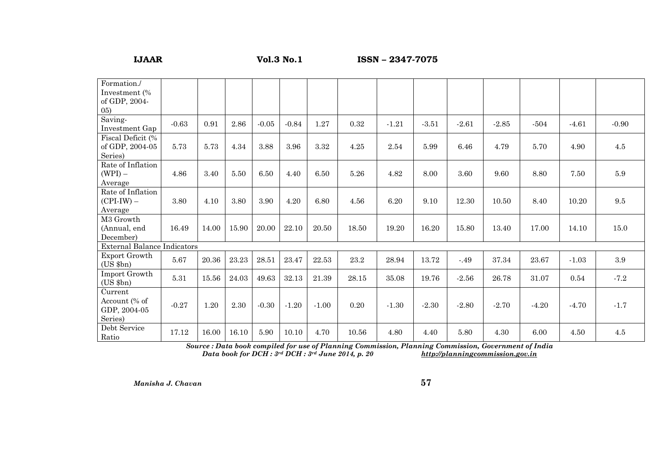## IJAAR Vol.3 No.1 ISSN – 2347-7075

| Formation./                        |          |       |       |         |         |         |       |         |         |         |         |         |         |         |
|------------------------------------|----------|-------|-------|---------|---------|---------|-------|---------|---------|---------|---------|---------|---------|---------|
| Investment (%                      |          |       |       |         |         |         |       |         |         |         |         |         |         |         |
| of GDP, 2004-                      |          |       |       |         |         |         |       |         |         |         |         |         |         |         |
| (05)                               |          |       |       |         |         |         |       |         |         |         |         |         |         |         |
| Saving-                            | $-0.63$  | 0.91  | 2.86  | $-0.05$ | $-0.84$ | 1.27    | 0.32  | $-1.21$ | $-3.51$ | $-2.61$ | $-2.85$ | $-504$  | $-4.61$ | $-0.90$ |
| Investment Gap                     |          |       |       |         |         |         |       |         |         |         |         |         |         |         |
| Fiscal Deficit (%                  |          |       |       |         |         |         |       |         |         |         |         |         |         |         |
| of GDP, 2004-05                    | 5.73     | 5.73  | 4.34  | 3.88    | 3.96    | 3.32    | 4.25  | 2.54    | 5.99    | 6.46    | 4.79    | 5.70    | 4.90    | $4.5\,$ |
| Series)                            |          |       |       |         |         |         |       |         |         |         |         |         |         |         |
| Rate of Inflation                  |          |       |       |         |         |         |       |         |         |         |         |         |         |         |
| $(WPI)$ –                          | 4.86     | 3.40  | 5.50  | 6.50    | 4.40    | 6.50    | 5.26  | 4.82    | 8.00    | 3.60    | 9.60    | 8.80    | 7.50    | 5.9     |
| Average                            |          |       |       |         |         |         |       |         |         |         |         |         |         |         |
| Rate of Inflation                  |          |       |       |         |         |         |       |         |         |         |         |         |         |         |
| $(CPI-IW)$ –                       | 3.80     | 4.10  | 3.80  | 3.90    | 4.20    | 6.80    | 4.56  | 6.20    | 9.10    | 12.30   | 10.50   | 8.40    | 10.20   | 9.5     |
| Average                            |          |       |       |         |         |         |       |         |         |         |         |         |         |         |
| M3 Growth                          |          |       |       |         |         |         |       |         |         |         |         |         |         |         |
| (Annual, end                       | 16.49    | 14.00 | 15.90 | 20.00   | 22.10   | 20.50   | 18.50 | 19.20   | 16.20   | 15.80   | 13.40   | 17.00   | 14.10   | 15.0    |
| December)                          |          |       |       |         |         |         |       |         |         |         |         |         |         |         |
| <b>External Balance Indicators</b> |          |       |       |         |         |         |       |         |         |         |         |         |         |         |
| Export Growth                      | 5.67     | 20.36 | 23.23 | 28.51   | 23.47   | 22.53   | 23.2  | 28.94   | 13.72   | $-.49$  | 37.34   | 23.67   | $-1.03$ | $\!.9$  |
| $(US$ $$bn)$                       |          |       |       |         |         |         |       |         |         |         |         |         |         |         |
| Import Growth                      | $5.31\,$ | 15.56 | 24.03 | 49.63   | 32.13   | 21.39   | 28.15 | 35.08   | 19.76   | $-2.56$ | 26.78   | 31.07   | 0.54    | $-7.2$  |
| $(US$ $$bn)$                       |          |       |       |         |         |         |       |         |         |         |         |         |         |         |
| Current                            |          |       |       |         |         |         |       |         |         |         |         |         |         |         |
| Account (% of                      | $-0.27$  | 1.20  | 2.30  | $-0.30$ | $-1.20$ | $-1.00$ | 0.20  | $-1.30$ | $-2.30$ | $-2.80$ | $-2.70$ | $-4.20$ | $-4.70$ | $-1.7$  |
| GDP, 2004-05                       |          |       |       |         |         |         |       |         |         |         |         |         |         |         |
| Series)                            |          |       |       |         |         |         |       |         |         |         |         |         |         |         |
| Debt Service                       | 17.12    | 16.00 | 16.10 | 5.90    | 10.10   | 4.70    | 10.56 | 4.80    | 4.40    | 5.80    | 4.30    | 6.00    | 4.50    | 4.5     |
| Ratio                              |          |       |       |         |         |         |       |         |         |         |         |         |         |         |

Source : Data book compiled for use of Planning Commission, Planning Commission, Government of India Data book for  $DCH: 3^{rd}$  DCH :  $3^{rd}$  June 2014, p. 20 http://planningcommission.gov.in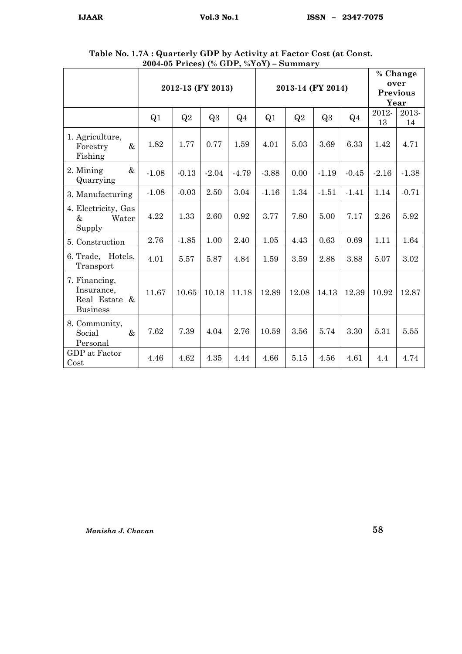|                                                                 |         | 2012-13 (FY 2013) |                |                |                | 2013-14 (FY 2014) | % Change<br>over<br><b>Previous</b><br>Year |                |             |             |
|-----------------------------------------------------------------|---------|-------------------|----------------|----------------|----------------|-------------------|---------------------------------------------|----------------|-------------|-------------|
|                                                                 | Q1      | Q2                | Q <sub>3</sub> | Q <sub>4</sub> | Q <sub>1</sub> | Q2                | Q <sub>3</sub>                              | Q <sub>4</sub> | 2012-<br>13 | 2013-<br>14 |
| 1. Agriculture,<br>$\&$<br>Forestry<br>Fishing                  | 1.82    | 1.77              | 0.77           | 1.59           | 4.01           | 5.03              | 3.69                                        | 6.33           | 1.42        | 4.71        |
| $\&$<br>2. Mining<br>Quarrying                                  | $-1.08$ | $-0.13$           | $-2.04$        | $-4.79$        | $-3.88$        | 0.00              | $-1.19$                                     | $-0.45$        | $-2.16$     | $-1.38$     |
| 3. Manufacturing                                                | $-1.08$ | $-0.03$           | 2.50           | 3.04           | $-1.16$        | 1.34              | $-1.51$                                     | $-1.41$        | 1.14        | $-0.71$     |
| 4. Electricity, Gas<br>$\&$<br>Water<br>Supply                  | 4.22    | 1.33              | 2.60           | 0.92           | 3.77           | 7.80              | 5.00                                        | 7.17           | 2.26        | 5.92        |
| 5. Construction                                                 | 2.76    | $-1.85$           | 1.00           | 2.40           | 1.05           | 4.43              | 0.63                                        | 0.69           | 1.11        | 1.64        |
| 6. Trade, Hotels,<br>Transport                                  | 4.01    | 5.57              | 5.87           | 4.84           | 1.59           | 3.59              | 2.88                                        | 3.88           | 5.07        | 3.02        |
| 7. Financing,<br>Insurance,<br>Real Estate &<br><b>Business</b> | 11.67   | 10.65             | 10.18          | 11.18          | 12.89          | 12.08             | 14.13                                       | 12.39          | 10.92       | 12.87       |
| 8. Community,<br>$\&$<br>Social<br>Personal                     | 7.62    | 7.39              | 4.04           | 2.76           | 10.59          | 3.56              | 5.74                                        | 3.30           | 5.31        | 5.55        |
| GDP at Factor<br>Cost                                           | 4.46    | 4.62              | 4.35           | 4.44           | 4.66           | 5.15              | 4.56                                        | 4.61           | 4.4         | 4.74        |

Table No. 1.7A : Quarterly GDP by Activity at Factor Cost (at Const. 2004-05 Prices) (% GDP, %YoY) – Summary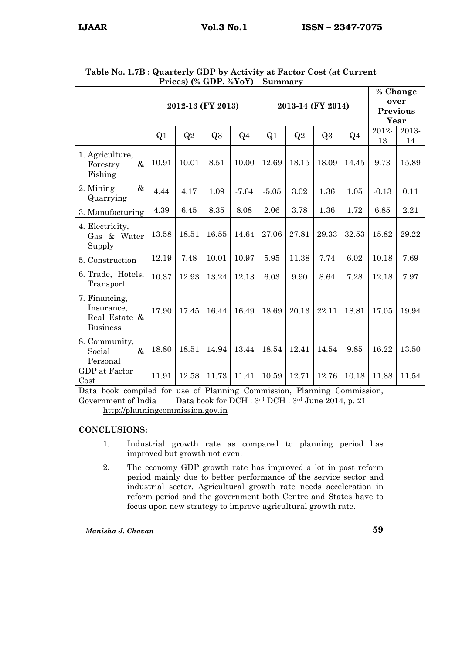| $r$ rices) (70 GDT, 70 FOT) – Summary                           |       |                   |       |                |         |                   |                                 |                |         |       |  |
|-----------------------------------------------------------------|-------|-------------------|-------|----------------|---------|-------------------|---------------------------------|----------------|---------|-------|--|
|                                                                 |       |                   |       |                |         |                   | % Change                        |                |         |       |  |
|                                                                 |       | 2012-13 (FY 2013) |       |                |         | 2013-14 (FY 2014) | over<br><b>Previous</b><br>Year |                |         |       |  |
|                                                                 |       |                   |       |                |         |                   |                                 |                |         |       |  |
|                                                                 | Q1    | Q2                | Q3    | Q <sub>4</sub> | Q1      | Q2                | Q3                              | Q <sub>4</sub> | 2012-   | 2013- |  |
|                                                                 |       |                   |       |                |         |                   |                                 |                | 13      | 14    |  |
| 1. Agriculture,<br>$\&$<br>Forestry<br>Fishing                  | 10.91 | 10.01             | 8.51  | 10.00          | 12.69   | 18.15             | 18.09                           | 14.45          | 9.73    | 15.89 |  |
| 2. Mining<br>$\&$<br>Quarrying                                  | 4.44  | 4.17              | 1.09  | $-7.64$        | $-5.05$ | 3.02              | 1.36                            | 1.05           | $-0.13$ | 0.11  |  |
| 3. Manufacturing                                                | 4.39  | 6.45              | 8.35  | 8.08           | 2.06    | 3.78              | 1.36                            | 1.72           | 6.85    | 2.21  |  |
| 4. Electricity,<br>Gas & Water<br>Supply                        | 13.58 | 18.51             | 16.55 | 14.64          | 27.06   | 27.81             | 29.33                           | 32.53          | 15.82   | 29.22 |  |
| 5. Construction                                                 | 12.19 | 7.48              | 10.01 | 10.97          | 5.95    | 11.38             | 7.74                            | 6.02           | 10.18   | 7.69  |  |
| 6. Trade, Hotels,<br>Transport                                  | 10.37 | 12.93             | 13.24 | 12.13          | 6.03    | 9.90              | 8.64                            | 7.28           | 12.18   | 7.97  |  |
| 7. Financing,<br>Insurance,<br>Real Estate &<br><b>Business</b> | 17.90 | 17.45             | 16.44 | 16.49          | 18.69   | 20.13             | 22.11                           | 18.81          | 17.05   | 19.94 |  |
| 8. Community,<br>$\&$<br>Social<br>Personal                     | 18.80 | 18.51             | 14.94 | 13.44          | 18.54   | 12.41             | 14.54                           | 9.85           | 16.22   | 13.50 |  |
| GDP at Factor<br>Cost                                           | 11.91 | 12.58             | 11.73 | 11.41          | 10.59   | 12.71             | 12.76                           | 10.18          | 11.88   | 11.54 |  |

Table No. 1.7B : Quarterly GDP by Activity at Factor Cost (at Current Prices) (% GDP, %YoY) – Summary

Data book compiled for use of Planning Commission, Planning Commission, Government of India Data book for DCH : 3rd DCH : 3rd June 2014, p. 21 http://planningcommission.gov.in

## CONCLUSIONS:

- 1. Industrial growth rate as compared to planning period has improved but growth not even.
- 2. The economy GDP growth rate has improved a lot in post reform period mainly due to better performance of the service sector and industrial sector. Agricultural growth rate needs acceleration in reform period and the government both Centre and States have to focus upon new strategy to improve agricultural growth rate.